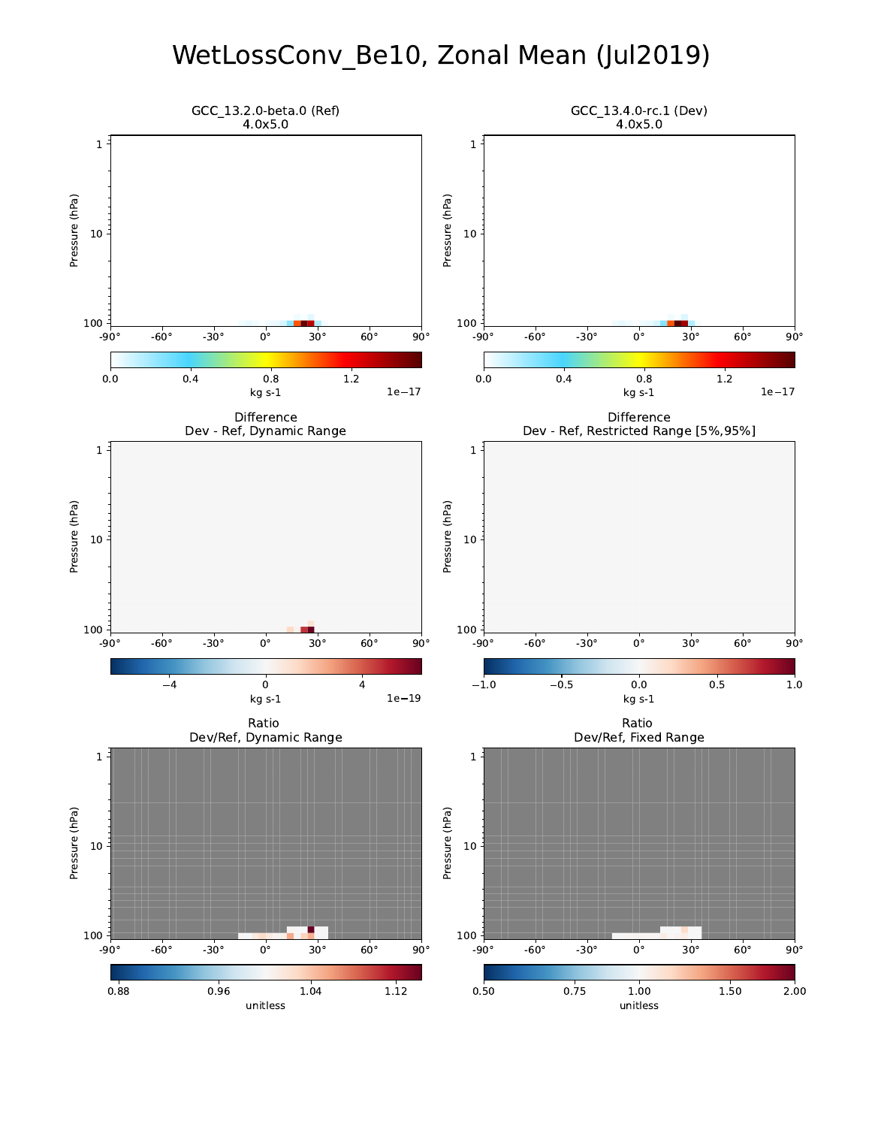## WetLossConv\_Be10, Zonal Mean (Jul2019)

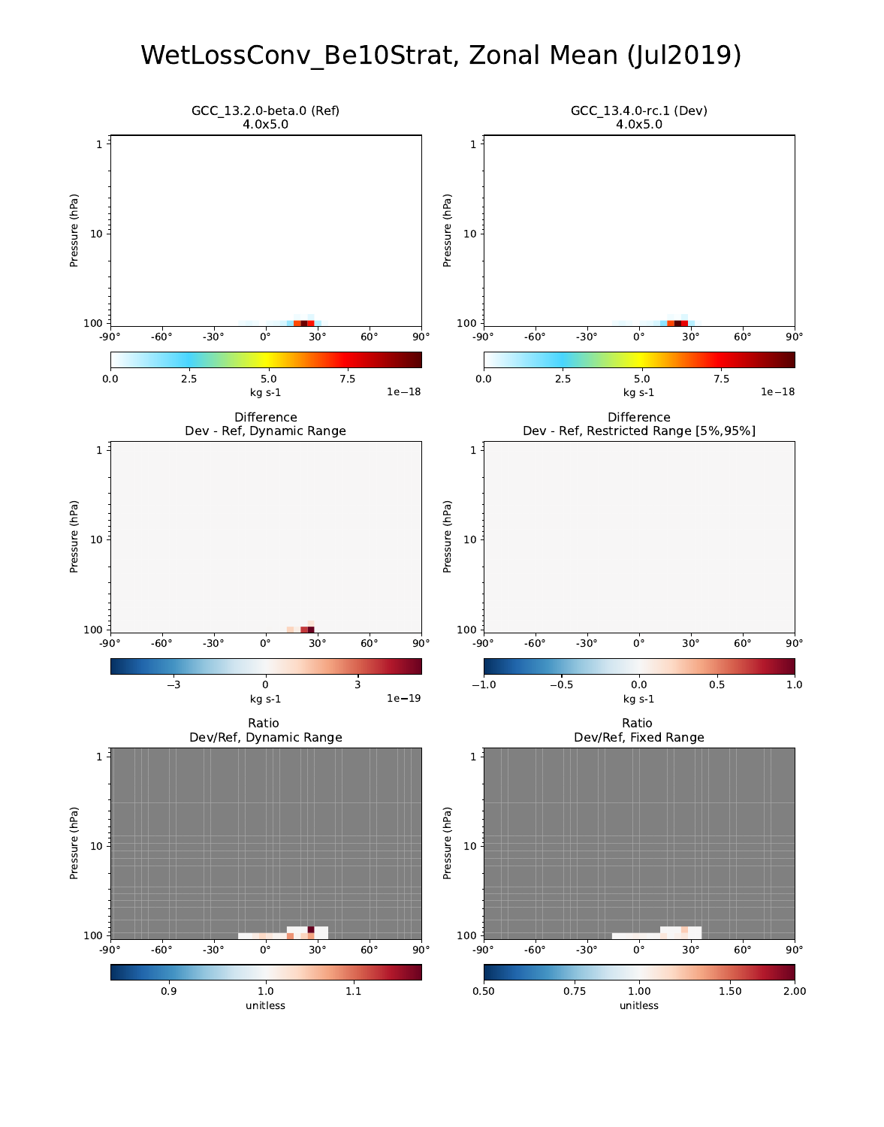# WetLossConv\_Be10Strat, Zonal Mean (Jul2019)

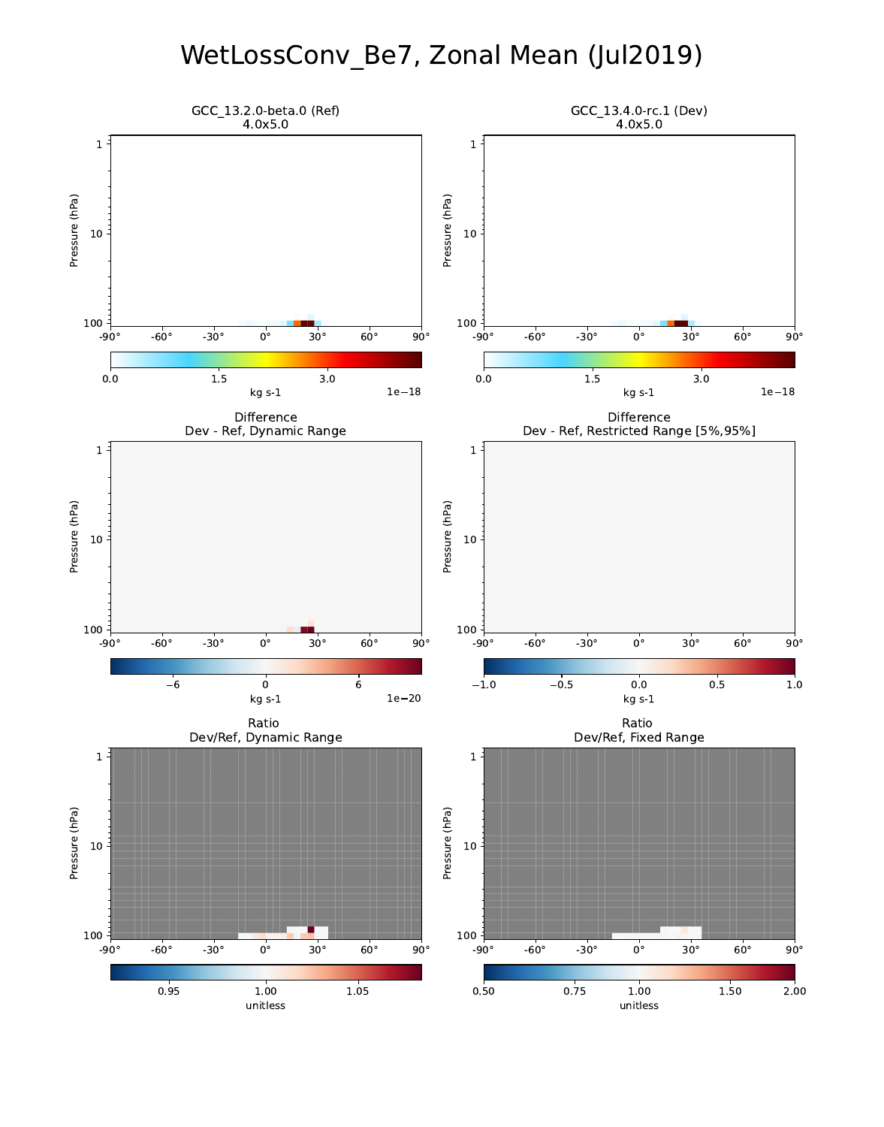## WetLossConv\_Be7, Zonal Mean (Jul2019)

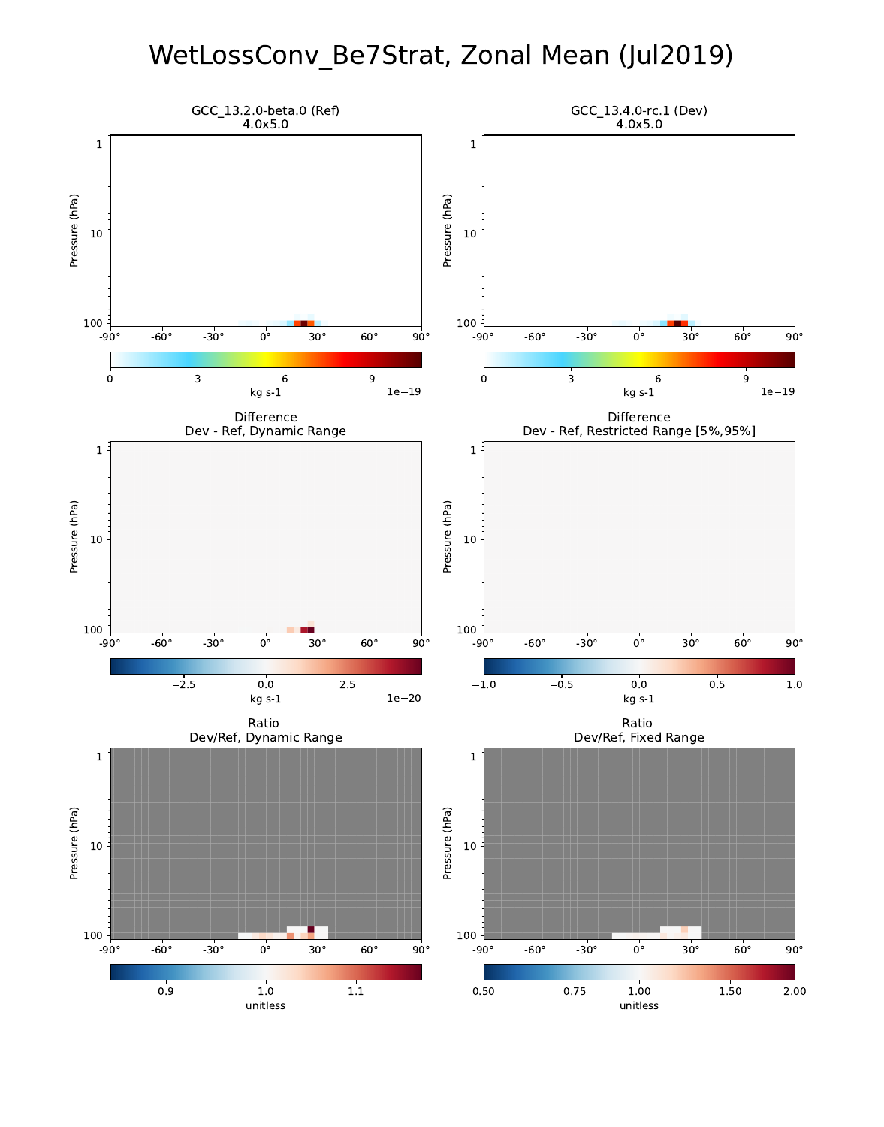## WetLossConv\_Be7Strat, Zonal Mean (Jul2019)

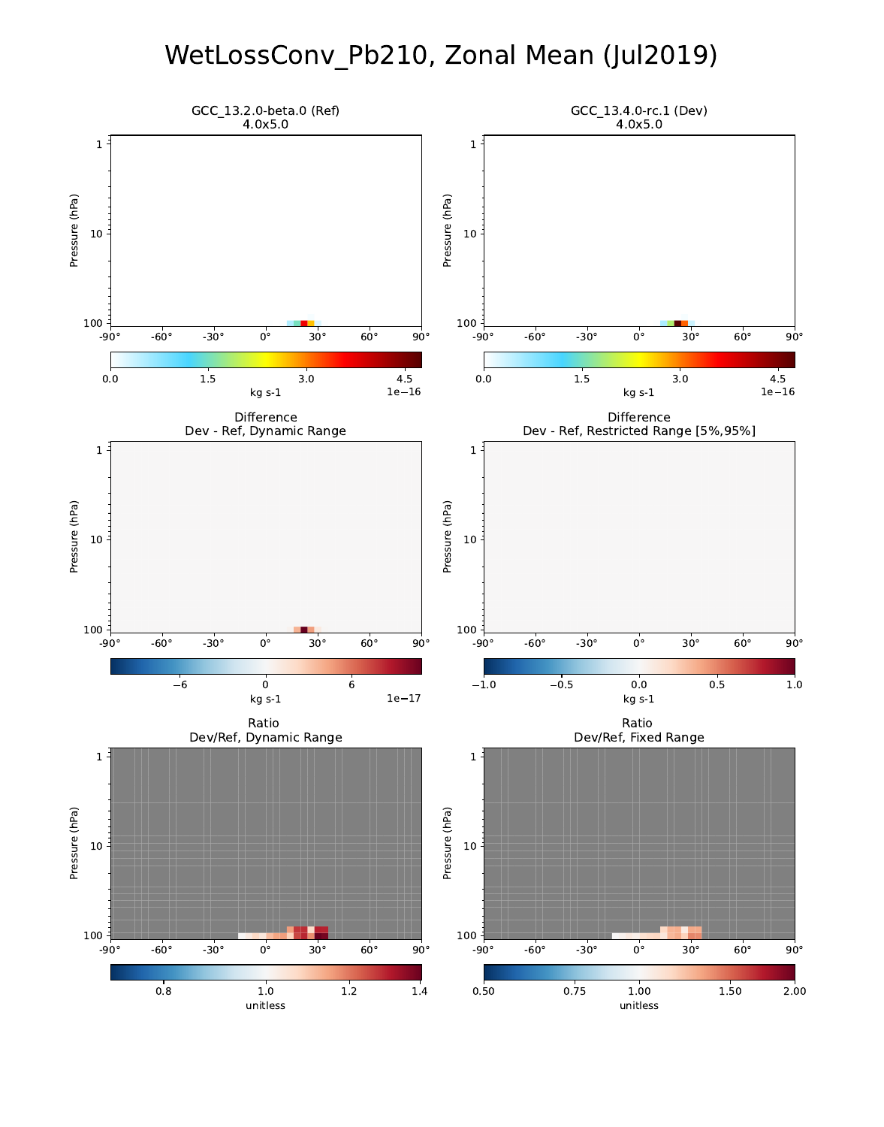## WetLossConv\_Pb210, Zonal Mean (Jul2019)